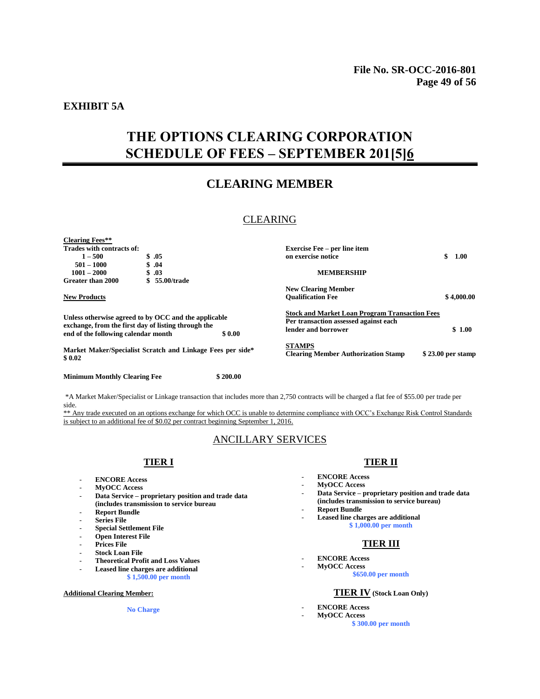### **EXHIBIT 5A**

# **THE OPTIONS CLEARING CORPORATION SCHEDULE OF FEES – SEPTEMBER 201[5]6**

## **CLEARING MEMBER**

### CLEARING

| <b>Clearing Fees**</b>                                                                                      |  |                                                            |                                                                                                |                   |
|-------------------------------------------------------------------------------------------------------------|--|------------------------------------------------------------|------------------------------------------------------------------------------------------------|-------------------|
| Trades with contracts of:                                                                                   |  |                                                            | <b>Exercise Fee – per line item</b>                                                            |                   |
| $1 - 500$                                                                                                   |  | \$.05                                                      | on exercise notice                                                                             | \$<br>1.00        |
| $501 - 1000$                                                                                                |  | \$.04                                                      |                                                                                                |                   |
| $1001 - 2000$                                                                                               |  | \$.03                                                      | <b>MEMBERSHIP</b>                                                                              |                   |
| Greater than 2000                                                                                           |  | 55.00/trade                                                |                                                                                                |                   |
|                                                                                                             |  |                                                            | <b>New Clearing Member</b>                                                                     |                   |
| <b>New Products</b>                                                                                         |  |                                                            | <b>Oualification Fee</b>                                                                       | \$4,000.00        |
| Unless otherwise agreed to by OCC and the applicable<br>exchange, from the first day of listing through the |  |                                                            | <b>Stock and Market Loan Program Transaction Fees</b><br>Per transaction assessed against each |                   |
| end of the following calendar month                                                                         |  | \$0.00                                                     | lender and borrower                                                                            | \$1.00            |
| \$0.02                                                                                                      |  | Market Maker/Specialist Scratch and Linkage Fees per side* | <b>STAMPS</b><br><b>Clearing Member Authorization Stamp</b>                                    | \$23.00 per stamp |

**Minimum Monthly Clearing Fee \$ 200.00**

\*A Market Maker/Specialist or Linkage transaction that includes more than 2,750 contracts will be charged a flat fee of \$55.00 per trade per side.

\*\* Any trade executed on an options exchange for which OCC is unable to determine compliance with OCC's Exchange Risk Control Standards is subject to an additional fee of \$0.02 per contract beginning September 1, 2016.

## ANCILLARY SERVICES

#### **TIER I**

- **ENCORE Access**
- **MyOCC Access**
- **Data Service – proprietary position and trade data (includes transmission to service bureau**
- **Report Bundle**
- **Series File**
- **Special Settlement File**
- **Open Interest File**
- Prices File
- **Stock Loan File**
- **Theoretical Profit and Loss Values**
- **Leased line charges are additional**
- **\$ 1,500.00 per month**

#### **Additional Clearing Member:**

**No Charge**

#### **TIER II**

- **ENCORE Access**
- **MyOCC Access**
- **Data Service – proprietary position and trade data (includes transmission to service bureau)**
- Report Bundle
	- Leased line charges are additional **\$ 1,000.00 per month**

# **TIER III**

- **ENCORE Access**

- **MyOCC Access \$650.00 per month**

#### **TIER IV (Stock Loan Only)**

- **ENCORE Access**
- **MyOCC Access**

**\$ 300.00 per month**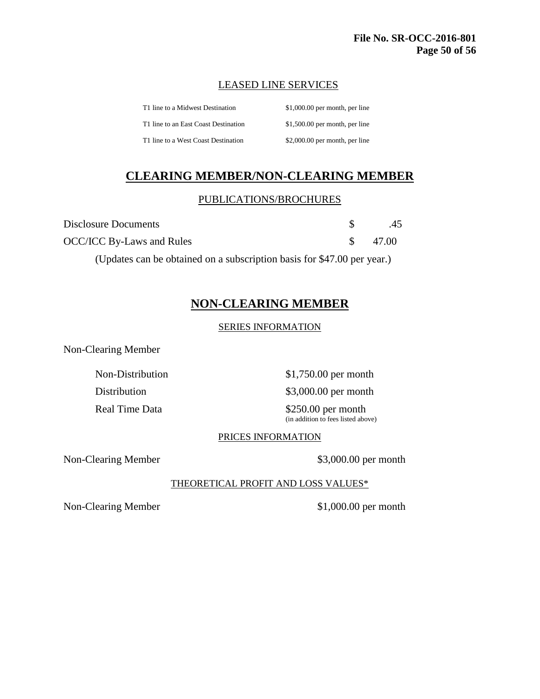## LEASED LINE SERVICES

| T1 line to a Midwest Destination     | $$1,000.00$ per month, per line |
|--------------------------------------|---------------------------------|
| T1 line to an East Coast Destination | $$1,500.00$ per month, per line |
| T1 line to a West Coast Destination  | $$2,000.00$ per month, per line |

# **CLEARING MEMBER/NON-CLEARING MEMBER**

## PUBLICATIONS/BROCHURES

| Disclosure Documents      | .45      |
|---------------------------|----------|
| OCC/ICC By-Laws and Rules | \$ 47.00 |

(Updates can be obtained on a subscription basis for \$47.00 per year.)

## **NON-CLEARING MEMBER**

## SERIES INFORMATION

Non-Clearing Member

Non-Distribution  $$1,750.00$  per month

Distribution \$3,000.00 per month

Real Time Data \$250.00 per month (in addition to fees listed above)

## PRICES INFORMATION

Non-Clearing Member \$3,000.00 per month

## THEORETICAL PROFIT AND LOSS VALUES\*

Non-Clearing Member  $$1,000.00$  per month